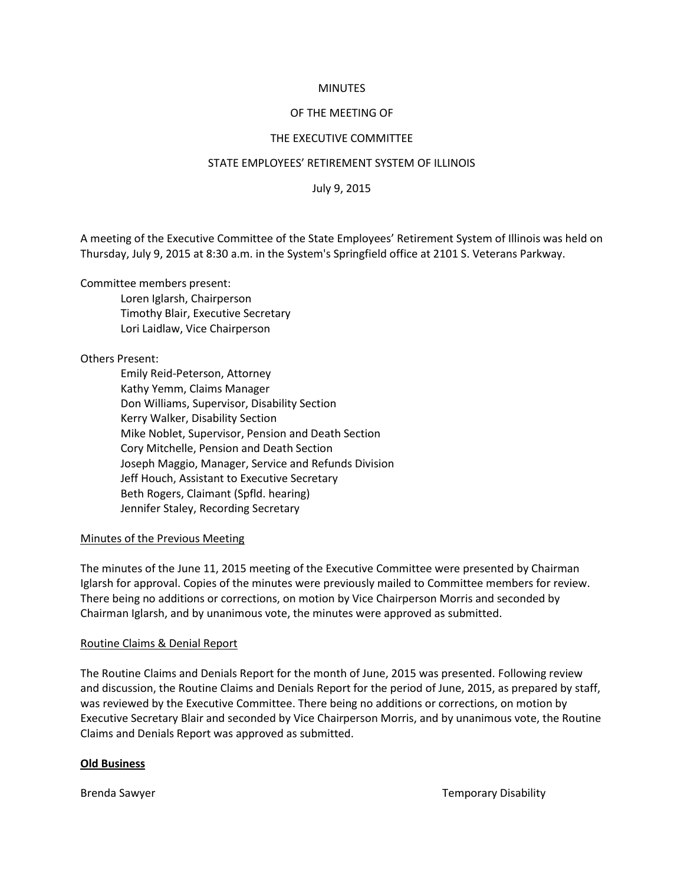# **MINUTES**

### OF THE MEETING OF

#### THE EXECUTIVE COMMITTEE

#### STATE EMPLOYEES' RETIREMENT SYSTEM OF ILLINOIS

July 9, 2015

A meeting of the Executive Committee of the State Employees' Retirement System of Illinois was held on Thursday, July 9, 2015 at 8:30 a.m. in the System's Springfield office at 2101 S. Veterans Parkway.

Committee members present:

Loren Iglarsh, Chairperson Timothy Blair, Executive Secretary Lori Laidlaw, Vice Chairperson

Others Present:

Emily Reid-Peterson, Attorney Kathy Yemm, Claims Manager Don Williams, Supervisor, Disability Section Kerry Walker, Disability Section Mike Noblet, Supervisor, Pension and Death Section Cory Mitchelle, Pension and Death Section Joseph Maggio, Manager, Service and Refunds Division Jeff Houch, Assistant to Executive Secretary Beth Rogers, Claimant (Spfld. hearing) Jennifer Staley, Recording Secretary

# Minutes of the Previous Meeting

The minutes of the June 11, 2015 meeting of the Executive Committee were presented by Chairman Iglarsh for approval. Copies of the minutes were previously mailed to Committee members for review. There being no additions or corrections, on motion by Vice Chairperson Morris and seconded by Chairman Iglarsh, and by unanimous vote, the minutes were approved as submitted.

# Routine Claims & Denial Report

The Routine Claims and Denials Report for the month of June, 2015 was presented. Following review and discussion, the Routine Claims and Denials Report for the period of June, 2015, as prepared by staff, was reviewed by the Executive Committee. There being no additions or corrections, on motion by Executive Secretary Blair and seconded by Vice Chairperson Morris, and by unanimous vote, the Routine Claims and Denials Report was approved as submitted.

# **Old Business**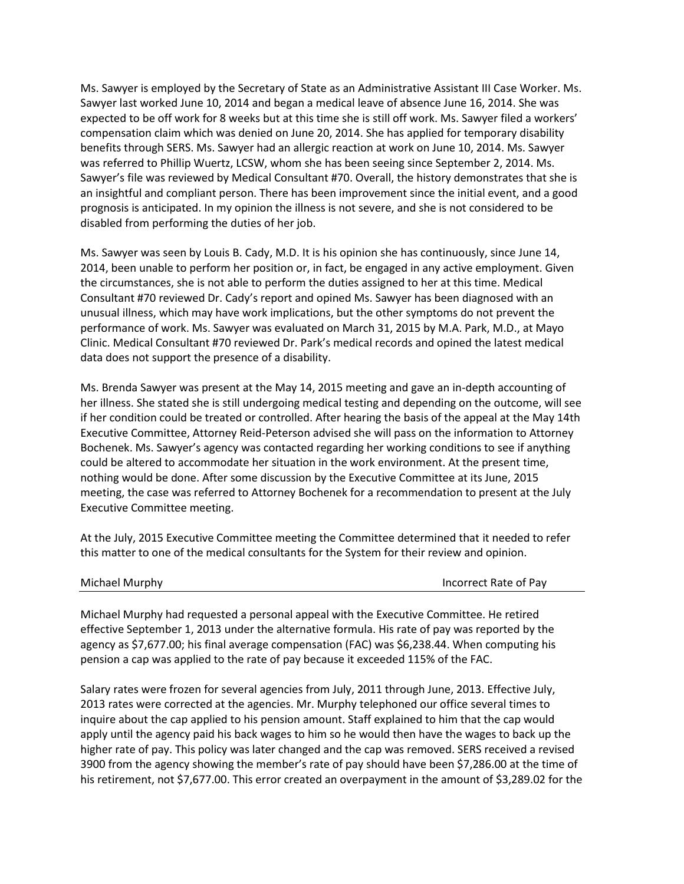Ms. Sawyer is employed by the Secretary of State as an Administrative Assistant III Case Worker. Ms. Sawyer last worked June 10, 2014 and began a medical leave of absence June 16, 2014. She was expected to be off work for 8 weeks but at this time she is still off work. Ms. Sawyer filed a workers' compensation claim which was denied on June 20, 2014. She has applied for temporary disability benefits through SERS. Ms. Sawyer had an allergic reaction at work on June 10, 2014. Ms. Sawyer was referred to Phillip Wuertz, LCSW, whom she has been seeing since September 2, 2014. Ms. Sawyer's file was reviewed by Medical Consultant #70. Overall, the history demonstrates that she is an insightful and compliant person. There has been improvement since the initial event, and a good prognosis is anticipated. In my opinion the illness is not severe, and she is not considered to be disabled from performing the duties of her job.

Ms. Sawyer was seen by Louis B. Cady, M.D. It is his opinion she has continuously, since June 14, 2014, been unable to perform her position or, in fact, be engaged in any active employment. Given the circumstances, she is not able to perform the duties assigned to her at this time. Medical Consultant #70 reviewed Dr. Cady's report and opined Ms. Sawyer has been diagnosed with an unusual illness, which may have work implications, but the other symptoms do not prevent the performance of work. Ms. Sawyer was evaluated on March 31, 2015 by M.A. Park, M.D., at Mayo Clinic. Medical Consultant #70 reviewed Dr. Park's medical records and opined the latest medical data does not support the presence of a disability.

Ms. Brenda Sawyer was present at the May 14, 2015 meeting and gave an in-depth accounting of her illness. She stated she is still undergoing medical testing and depending on the outcome, will see if her condition could be treated or controlled. After hearing the basis of the appeal at the May 14th Executive Committee, Attorney Reid-Peterson advised she will pass on the information to Attorney Bochenek. Ms. Sawyer's agency was contacted regarding her working conditions to see if anything could be altered to accommodate her situation in the work environment. At the present time, nothing would be done. After some discussion by the Executive Committee at its June, 2015 meeting, the case was referred to Attorney Bochenek for a recommendation to present at the July Executive Committee meeting.

At the July, 2015 Executive Committee meeting the Committee determined that it needed to refer this matter to one of the medical consultants for the System for their review and opinion.

| Michael Murphy | Incorrect Rate of Pay |
|----------------|-----------------------|
|----------------|-----------------------|

Michael Murphy had requested a personal appeal with the Executive Committee. He retired effective September 1, 2013 under the alternative formula. His rate of pay was reported by the agency as \$7,677.00; his final average compensation (FAC) was \$6,238.44. When computing his pension a cap was applied to the rate of pay because it exceeded 115% of the FAC.

Salary rates were frozen for several agencies from July, 2011 through June, 2013. Effective July, 2013 rates were corrected at the agencies. Mr. Murphy telephoned our office several times to inquire about the cap applied to his pension amount. Staff explained to him that the cap would apply until the agency paid his back wages to him so he would then have the wages to back up the higher rate of pay. This policy was later changed and the cap was removed. SERS received a revised 3900 from the agency showing the member's rate of pay should have been \$7,286.00 at the time of his retirement, not \$7,677.00. This error created an overpayment in the amount of \$3,289.02 for the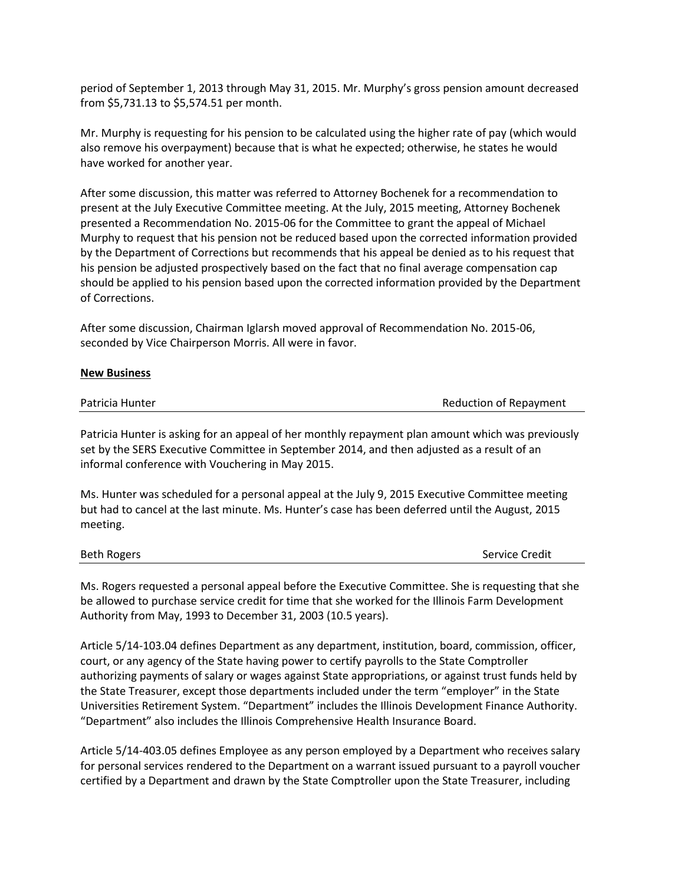period of September 1, 2013 through May 31, 2015. Mr. Murphy's gross pension amount decreased from \$5,731.13 to \$5,574.51 per month.

Mr. Murphy is requesting for his pension to be calculated using the higher rate of pay (which would also remove his overpayment) because that is what he expected; otherwise, he states he would have worked for another year.

After some discussion, this matter was referred to Attorney Bochenek for a recommendation to present at the July Executive Committee meeting. At the July, 2015 meeting, Attorney Bochenek presented a Recommendation No. 2015-06 for the Committee to grant the appeal of Michael Murphy to request that his pension not be reduced based upon the corrected information provided by the Department of Corrections but recommends that his appeal be denied as to his request that his pension be adjusted prospectively based on the fact that no final average compensation cap should be applied to his pension based upon the corrected information provided by the Department of Corrections.

After some discussion, Chairman Iglarsh moved approval of Recommendation No. 2015-06, seconded by Vice Chairperson Morris. All were in favor.

# **New Business**

| Patricia Hunter | Reduction of Repayment |
|-----------------|------------------------|
|                 |                        |

Patricia Hunter is asking for an appeal of her monthly repayment plan amount which was previously set by the SERS Executive Committee in September 2014, and then adjusted as a result of an informal conference with Vouchering in May 2015.

Ms. Hunter was scheduled for a personal appeal at the July 9, 2015 Executive Committee meeting but had to cancel at the last minute. Ms. Hunter's case has been deferred until the August, 2015 meeting.

Beth Rogers Service Credit

Ms. Rogers requested a personal appeal before the Executive Committee. She is requesting that she be allowed to purchase service credit for time that she worked for the Illinois Farm Development Authority from May, 1993 to December 31, 2003 (10.5 years).

Article 5/14-103.04 defines Department as any department, institution, board, commission, officer, court, or any agency of the State having power to certify payrolls to the State Comptroller authorizing payments of salary or wages against State appropriations, or against trust funds held by the State Treasurer, except those departments included under the term "employer" in the State Universities Retirement System. "Department" includes the Illinois Development Finance Authority. "Department" also includes the Illinois Comprehensive Health Insurance Board.

Article 5/14-403.05 defines Employee as any person employed by a Department who receives salary for personal services rendered to the Department on a warrant issued pursuant to a payroll voucher certified by a Department and drawn by the State Comptroller upon the State Treasurer, including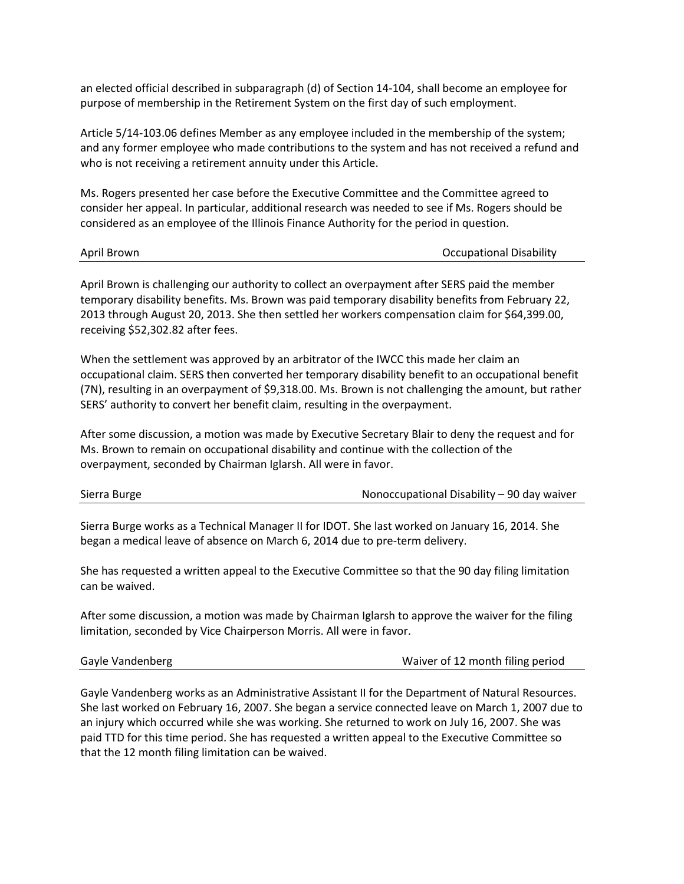an elected official described in subparagraph (d) of Section 14-104, shall become an employee for purpose of membership in the Retirement System on the first day of such employment.

Article 5/14-103.06 defines Member as any employee included in the membership of the system; and any former employee who made contributions to the system and has not received a refund and who is not receiving a retirement annuity under this Article.

Ms. Rogers presented her case before the Executive Committee and the Committee agreed to consider her appeal. In particular, additional research was needed to see if Ms. Rogers should be considered as an employee of the Illinois Finance Authority for the period in question.

| April Brown |
|-------------|
|-------------|

**Occupational Disability** 

April Brown is challenging our authority to collect an overpayment after SERS paid the member temporary disability benefits. Ms. Brown was paid temporary disability benefits from February 22, 2013 through August 20, 2013. She then settled her workers compensation claim for \$64,399.00, receiving \$52,302.82 after fees.

When the settlement was approved by an arbitrator of the IWCC this made her claim an occupational claim. SERS then converted her temporary disability benefit to an occupational benefit (7N), resulting in an overpayment of \$9,318.00. Ms. Brown is not challenging the amount, but rather SERS' authority to convert her benefit claim, resulting in the overpayment.

After some discussion, a motion was made by Executive Secretary Blair to deny the request and for Ms. Brown to remain on occupational disability and continue with the collection of the overpayment, seconded by Chairman Iglarsh. All were in favor.

| Sierra Burge | Nonoccupational Disability - 90 day waiver |
|--------------|--------------------------------------------|
|--------------|--------------------------------------------|

Sierra Burge works as a Technical Manager II for IDOT. She last worked on January 16, 2014. She began a medical leave of absence on March 6, 2014 due to pre-term delivery.

She has requested a written appeal to the Executive Committee so that the 90 day filing limitation can be waived.

After some discussion, a motion was made by Chairman Iglarsh to approve the waiver for the filing limitation, seconded by Vice Chairperson Morris. All were in favor.

Gayle Vandenberg **Waiver of 12 month filing period** 

Gayle Vandenberg works as an Administrative Assistant II for the Department of Natural Resources. She last worked on February 16, 2007. She began a service connected leave on March 1, 2007 due to an injury which occurred while she was working. She returned to work on July 16, 2007. She was paid TTD for this time period. She has requested a written appeal to the Executive Committee so that the 12 month filing limitation can be waived.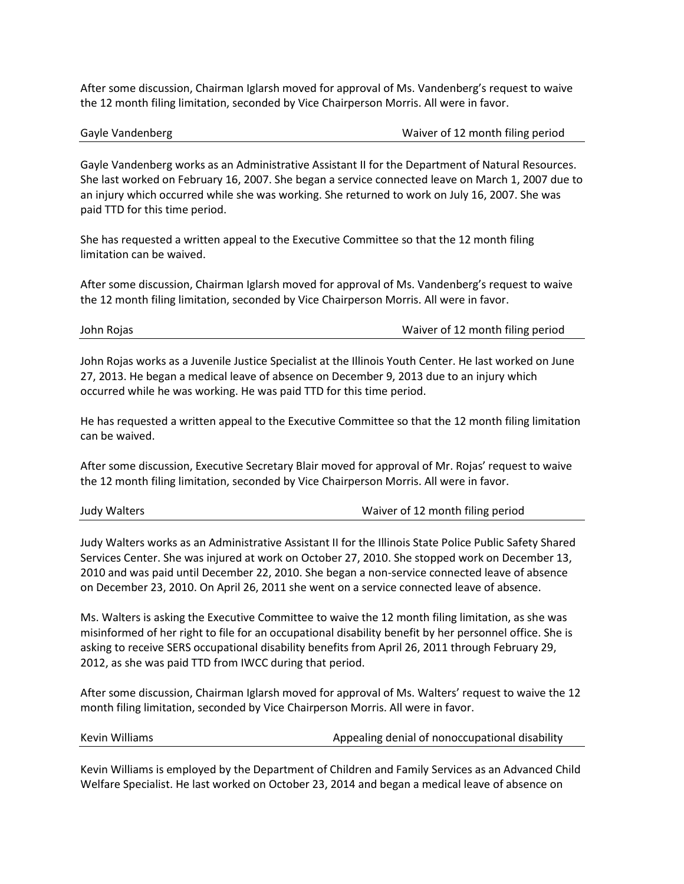After some discussion, Chairman Iglarsh moved for approval of Ms. Vandenberg's request to waive the 12 month filing limitation, seconded by Vice Chairperson Morris. All were in favor.

Gayle Vandenberg **Case Community** Case Case Communication Case Case Case Communication Case Communication Case C

Gayle Vandenberg works as an Administrative Assistant II for the Department of Natural Resources. She last worked on February 16, 2007. She began a service connected leave on March 1, 2007 due to an injury which occurred while she was working. She returned to work on July 16, 2007. She was paid TTD for this time period.

She has requested a written appeal to the Executive Committee so that the 12 month filing limitation can be waived.

After some discussion, Chairman Iglarsh moved for approval of Ms. Vandenberg's request to waive the 12 month filing limitation, seconded by Vice Chairperson Morris. All were in favor.

John Rojas Waiver of 12 month filing period

John Rojas works as a Juvenile Justice Specialist at the Illinois Youth Center. He last worked on June 27, 2013. He began a medical leave of absence on December 9, 2013 due to an injury which occurred while he was working. He was paid TTD for this time period.

He has requested a written appeal to the Executive Committee so that the 12 month filing limitation can be waived.

After some discussion, Executive Secretary Blair moved for approval of Mr. Rojas' request to waive the 12 month filing limitation, seconded by Vice Chairperson Morris. All were in favor.

Judy Walters Waiver of 12 month filing period

Judy Walters works as an Administrative Assistant II for the Illinois State Police Public Safety Shared Services Center. She was injured at work on October 27, 2010. She stopped work on December 13, 2010 and was paid until December 22, 2010. She began a non-service connected leave of absence on December 23, 2010. On April 26, 2011 she went on a service connected leave of absence.

Ms. Walters is asking the Executive Committee to waive the 12 month filing limitation, as she was misinformed of her right to file for an occupational disability benefit by her personnel office. She is asking to receive SERS occupational disability benefits from April 26, 2011 through February 29, 2012, as she was paid TTD from IWCC during that period.

After some discussion, Chairman Iglarsh moved for approval of Ms. Walters' request to waive the 12 month filing limitation, seconded by Vice Chairperson Morris. All were in favor.

Kevin Williams **Appealing denial of nonoccupational disability** Appealing denial of nonoccupational disability

Kevin Williams is employed by the Department of Children and Family Services as an Advanced Child Welfare Specialist. He last worked on October 23, 2014 and began a medical leave of absence on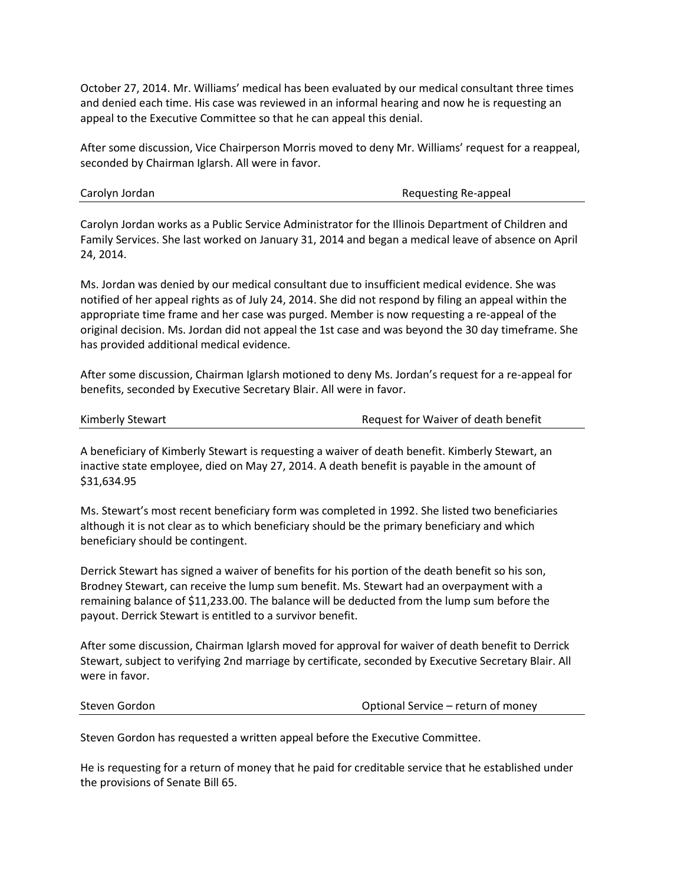October 27, 2014. Mr. Williams' medical has been evaluated by our medical consultant three times and denied each time. His case was reviewed in an informal hearing and now he is requesting an appeal to the Executive Committee so that he can appeal this denial.

After some discussion, Vice Chairperson Morris moved to deny Mr. Williams' request for a reappeal, seconded by Chairman Iglarsh. All were in favor.

Carolyn Jordan Requesting Re-appeal

Carolyn Jordan works as a Public Service Administrator for the Illinois Department of Children and Family Services. She last worked on January 31, 2014 and began a medical leave of absence on April 24, 2014.

Ms. Jordan was denied by our medical consultant due to insufficient medical evidence. She was notified of her appeal rights as of July 24, 2014. She did not respond by filing an appeal within the appropriate time frame and her case was purged. Member is now requesting a re-appeal of the original decision. Ms. Jordan did not appeal the 1st case and was beyond the 30 day timeframe. She has provided additional medical evidence.

After some discussion, Chairman Iglarsh motioned to deny Ms. Jordan's request for a re-appeal for benefits, seconded by Executive Secretary Blair. All were in favor.

|  | Kimberly Stewart |  |
|--|------------------|--|
|  |                  |  |

Request for Waiver of death benefit

A beneficiary of Kimberly Stewart is requesting a waiver of death benefit. Kimberly Stewart, an inactive state employee, died on May 27, 2014. A death benefit is payable in the amount of \$31,634.95

Ms. Stewart's most recent beneficiary form was completed in 1992. She listed two beneficiaries although it is not clear as to which beneficiary should be the primary beneficiary and which beneficiary should be contingent.

Derrick Stewart has signed a waiver of benefits for his portion of the death benefit so his son, Brodney Stewart, can receive the lump sum benefit. Ms. Stewart had an overpayment with a remaining balance of \$11,233.00. The balance will be deducted from the lump sum before the payout. Derrick Stewart is entitled to a survivor benefit.

After some discussion, Chairman Iglarsh moved for approval for waiver of death benefit to Derrick Stewart, subject to verifying 2nd marriage by certificate, seconded by Executive Secretary Blair. All were in favor.

Steven Gordon Optional Service – return of money

Steven Gordon has requested a written appeal before the Executive Committee.

He is requesting for a return of money that he paid for creditable service that he established under the provisions of Senate Bill 65.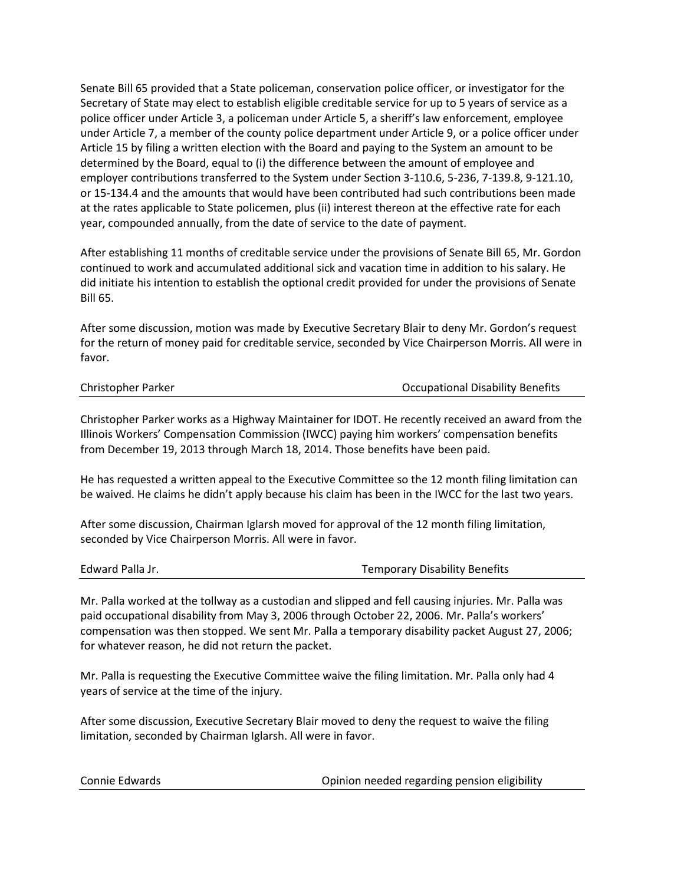Senate Bill 65 provided that a State policeman, conservation police officer, or investigator for the Secretary of State may elect to establish eligible creditable service for up to 5 years of service as a police officer under Article 3, a policeman under Article 5, a sheriff's law enforcement, employee under Article 7, a member of the county police department under Article 9, or a police officer under Article 15 by filing a written election with the Board and paying to the System an amount to be determined by the Board, equal to (i) the difference between the amount of employee and employer contributions transferred to the System under Section 3-110.6, 5-236, 7-139.8, 9-121.10, or 15-134.4 and the amounts that would have been contributed had such contributions been made at the rates applicable to State policemen, plus (ii) interest thereon at the effective rate for each year, compounded annually, from the date of service to the date of payment.

After establishing 11 months of creditable service under the provisions of Senate Bill 65, Mr. Gordon continued to work and accumulated additional sick and vacation time in addition to his salary. He did initiate his intention to establish the optional credit provided for under the provisions of Senate Bill 65.

After some discussion, motion was made by Executive Secretary Blair to deny Mr. Gordon's request for the return of money paid for creditable service, seconded by Vice Chairperson Morris. All were in favor.

| Christopher Parker |  |  |  |
|--------------------|--|--|--|
|--------------------|--|--|--|

**Occupational Disability Benefits** 

Christopher Parker works as a Highway Maintainer for IDOT. He recently received an award from the Illinois Workers' Compensation Commission (IWCC) paying him workers' compensation benefits from December 19, 2013 through March 18, 2014. Those benefits have been paid.

He has requested a written appeal to the Executive Committee so the 12 month filing limitation can be waived. He claims he didn't apply because his claim has been in the IWCC for the last two years.

After some discussion, Chairman Iglarsh moved for approval of the 12 month filing limitation, seconded by Vice Chairperson Morris. All were in favor.

Temporary Disability Benefits

Mr. Palla worked at the tollway as a custodian and slipped and fell causing injuries. Mr. Palla was paid occupational disability from May 3, 2006 through October 22, 2006. Mr. Palla's workers' compensation was then stopped. We sent Mr. Palla a temporary disability packet August 27, 2006; for whatever reason, he did not return the packet.

Mr. Palla is requesting the Executive Committee waive the filing limitation. Mr. Palla only had 4 years of service at the time of the injury.

After some discussion, Executive Secretary Blair moved to deny the request to waive the filing limitation, seconded by Chairman Iglarsh. All were in favor.

| Connie Edwards | Opinion needed regarding pension eligibility |
|----------------|----------------------------------------------|
|----------------|----------------------------------------------|